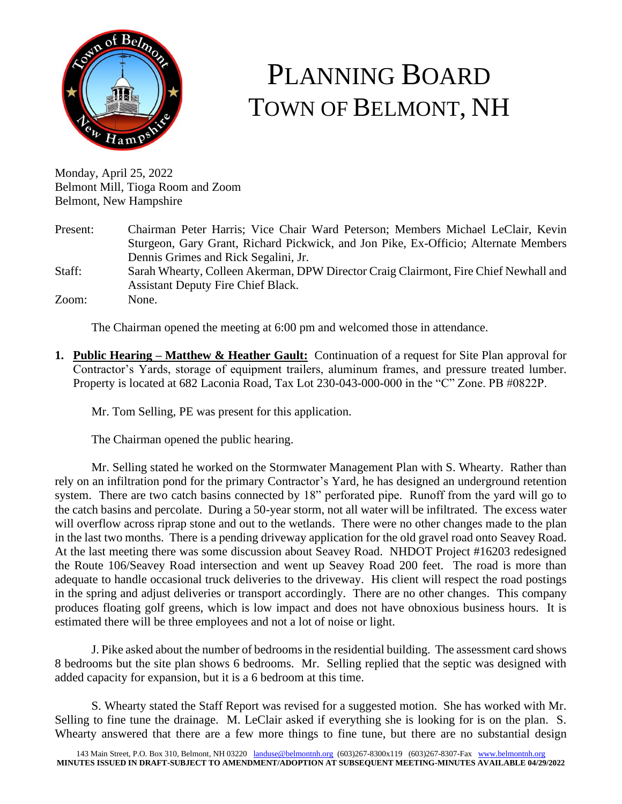

# PLANNING BOARD TOWN OF BELMONT, NH

Monday, April 25, 2022 Belmont Mill, Tioga Room and Zoom Belmont, New Hampshire

| Present: | Chairman Peter Harris; Vice Chair Ward Peterson; Members Michael LeClair, Kevin      |
|----------|--------------------------------------------------------------------------------------|
|          | Sturgeon, Gary Grant, Richard Pickwick, and Jon Pike, Ex-Officio; Alternate Members  |
|          | Dennis Grimes and Rick Segalini, Jr.                                                 |
| Staff:   | Sarah Whearty, Colleen Akerman, DPW Director Craig Clairmont, Fire Chief Newhall and |
|          | <b>Assistant Deputy Fire Chief Black.</b>                                            |
| Zoom:    | None.                                                                                |

The Chairman opened the meeting at 6:00 pm and welcomed those in attendance.

**1. Public Hearing – Matthew & Heather Gault:** Continuation of a request for Site Plan approval for Contractor's Yards, storage of equipment trailers, aluminum frames, and pressure treated lumber. Property is located at 682 Laconia Road, Tax Lot 230-043-000-000 in the "C" Zone. PB #0822P.

Mr. Tom Selling, PE was present for this application.

The Chairman opened the public hearing.

Mr. Selling stated he worked on the Stormwater Management Plan with S. Whearty. Rather than rely on an infiltration pond for the primary Contractor's Yard, he has designed an underground retention system. There are two catch basins connected by 18" perforated pipe. Runoff from the yard will go to the catch basins and percolate. During a 50-year storm, not all water will be infiltrated. The excess water will overflow across riprap stone and out to the wetlands. There were no other changes made to the plan in the last two months. There is a pending driveway application for the old gravel road onto Seavey Road. At the last meeting there was some discussion about Seavey Road. NHDOT Project #16203 redesigned the Route 106/Seavey Road intersection and went up Seavey Road 200 feet. The road is more than adequate to handle occasional truck deliveries to the driveway. His client will respect the road postings in the spring and adjust deliveries or transport accordingly. There are no other changes. This company produces floating golf greens, which is low impact and does not have obnoxious business hours. It is estimated there will be three employees and not a lot of noise or light.

J. Pike asked about the number of bedrooms in the residential building. The assessment card shows 8 bedrooms but the site plan shows 6 bedrooms. Mr. Selling replied that the septic was designed with added capacity for expansion, but it is a 6 bedroom at this time.

S. Whearty stated the Staff Report was revised for a suggested motion. She has worked with Mr. Selling to fine tune the drainage. M. LeClair asked if everything she is looking for is on the plan. S. Whearty answered that there are a few more things to fine tune, but there are no substantial design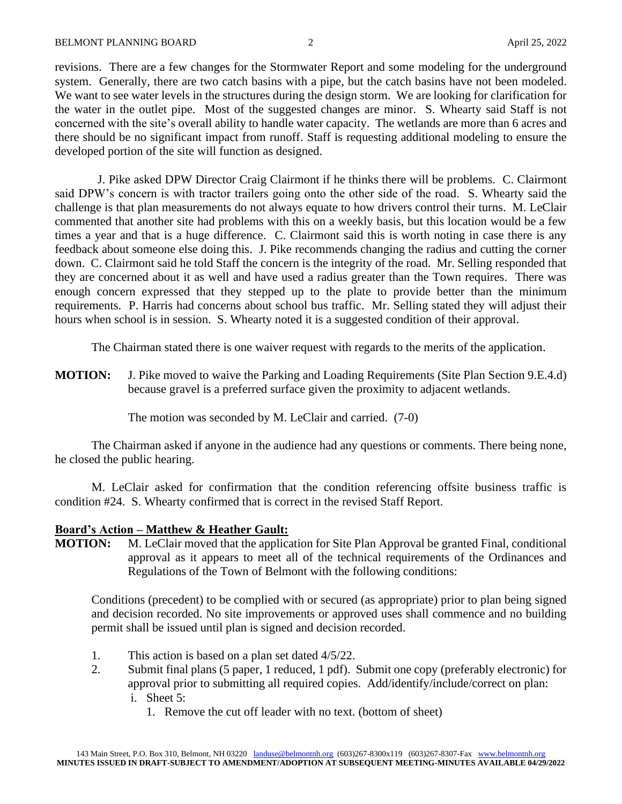revisions. There are a few changes for the Stormwater Report and some modeling for the underground system. Generally, there are two catch basins with a pipe, but the catch basins have not been modeled. We want to see water levels in the structures during the design storm. We are looking for clarification for the water in the outlet pipe. Most of the suggested changes are minor. S. Whearty said Staff is not concerned with the site's overall ability to handle water capacity. The wetlands are more than 6 acres and there should be no significant impact from runoff. Staff is requesting additional modeling to ensure the developed portion of the site will function as designed.

 J. Pike asked DPW Director Craig Clairmont if he thinks there will be problems. C. Clairmont said DPW's concern is with tractor trailers going onto the other side of the road. S. Whearty said the challenge is that plan measurements do not always equate to how drivers control their turns. M. LeClair commented that another site had problems with this on a weekly basis, but this location would be a few times a year and that is a huge difference. C. Clairmont said this is worth noting in case there is any feedback about someone else doing this. J. Pike recommends changing the radius and cutting the corner down. C. Clairmont said he told Staff the concern is the integrity of the road. Mr. Selling responded that they are concerned about it as well and have used a radius greater than the Town requires. There was enough concern expressed that they stepped up to the plate to provide better than the minimum requirements. P. Harris had concerns about school bus traffic. Mr. Selling stated they will adjust their hours when school is in session. S. Whearty noted it is a suggested condition of their approval.

The Chairman stated there is one waiver request with regards to the merits of the application.

**MOTION:** J. Pike moved to waive the Parking and Loading Requirements (Site Plan Section 9.E.4.d) because gravel is a preferred surface given the proximity to adjacent wetlands.

The motion was seconded by M. LeClair and carried. (7-0)

The Chairman asked if anyone in the audience had any questions or comments. There being none, he closed the public hearing.

M. LeClair asked for confirmation that the condition referencing offsite business traffic is condition #24. S. Whearty confirmed that is correct in the revised Staff Report.

#### **Board's Action – Matthew & Heather Gault:**

**MOTION:** M. LeClair moved that the application for Site Plan Approval be granted Final, conditional approval as it appears to meet all of the technical requirements of the Ordinances and Regulations of the Town of Belmont with the following conditions:

Conditions (precedent) to be complied with or secured (as appropriate) prior to plan being signed and decision recorded. No site improvements or approved uses shall commence and no building permit shall be issued until plan is signed and decision recorded.

- 1. This action is based on a plan set dated 4/5/22.
- 2. Submit final plans (5 paper, 1 reduced, 1 pdf). Submit one copy (preferably electronic) for approval prior to submitting all required copies. Add/identify/include/correct on plan: i. Sheet 5:
	- 1. Remove the cut off leader with no text. (bottom of sheet)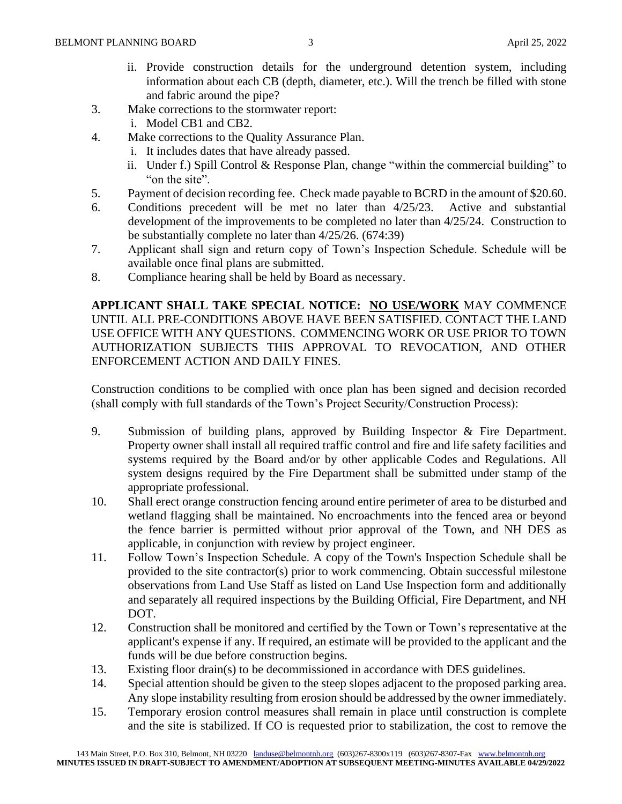- ii. Provide construction details for the underground detention system, including information about each CB (depth, diameter, etc.). Will the trench be filled with stone and fabric around the pipe?
- 3. Make corrections to the stormwater report:
	- i. Model CB1 and CB2.
- 4. Make corrections to the Quality Assurance Plan.
	- i. It includes dates that have already passed.
	- ii. Under f.) Spill Control & Response Plan, change "within the commercial building" to "on the site".
- 5. Payment of decision recording fee. Check made payable to BCRD in the amount of \$20.60.
- 6. Conditions precedent will be met no later than 4/25/23. Active and substantial development of the improvements to be completed no later than 4/25/24. Construction to be substantially complete no later than 4/25/26. (674:39)
- 7. Applicant shall sign and return copy of Town's Inspection Schedule. Schedule will be available once final plans are submitted.
- 8. Compliance hearing shall be held by Board as necessary.

**APPLICANT SHALL TAKE SPECIAL NOTICE: NO USE/WORK** MAY COMMENCE UNTIL ALL PRE-CONDITIONS ABOVE HAVE BEEN SATISFIED. CONTACT THE LAND USE OFFICE WITH ANY QUESTIONS. COMMENCING WORK OR USE PRIOR TO TOWN AUTHORIZATION SUBJECTS THIS APPROVAL TO REVOCATION, AND OTHER ENFORCEMENT ACTION AND DAILY FINES.

Construction conditions to be complied with once plan has been signed and decision recorded (shall comply with full standards of the Town's Project Security/Construction Process):

- 9. Submission of building plans, approved by Building Inspector & Fire Department. Property owner shall install all required traffic control and fire and life safety facilities and systems required by the Board and/or by other applicable Codes and Regulations. All system designs required by the Fire Department shall be submitted under stamp of the appropriate professional.
- 10. Shall erect orange construction fencing around entire perimeter of area to be disturbed and wetland flagging shall be maintained. No encroachments into the fenced area or beyond the fence barrier is permitted without prior approval of the Town, and NH DES as applicable, in conjunction with review by project engineer.
- 11. Follow Town's Inspection Schedule. A copy of the Town's Inspection Schedule shall be provided to the site contractor(s) prior to work commencing. Obtain successful milestone observations from Land Use Staff as listed on Land Use Inspection form and additionally and separately all required inspections by the Building Official, Fire Department, and NH DOT.
- 12. Construction shall be monitored and certified by the Town or Town's representative at the applicant's expense if any. If required, an estimate will be provided to the applicant and the funds will be due before construction begins.
- 13. Existing floor drain(s) to be decommissioned in accordance with DES guidelines.
- 14. Special attention should be given to the steep slopes adjacent to the proposed parking area. Any slope instability resulting from erosion should be addressed by the owner immediately.
- 15. Temporary erosion control measures shall remain in place until construction is complete and the site is stabilized. If CO is requested prior to stabilization, the cost to remove the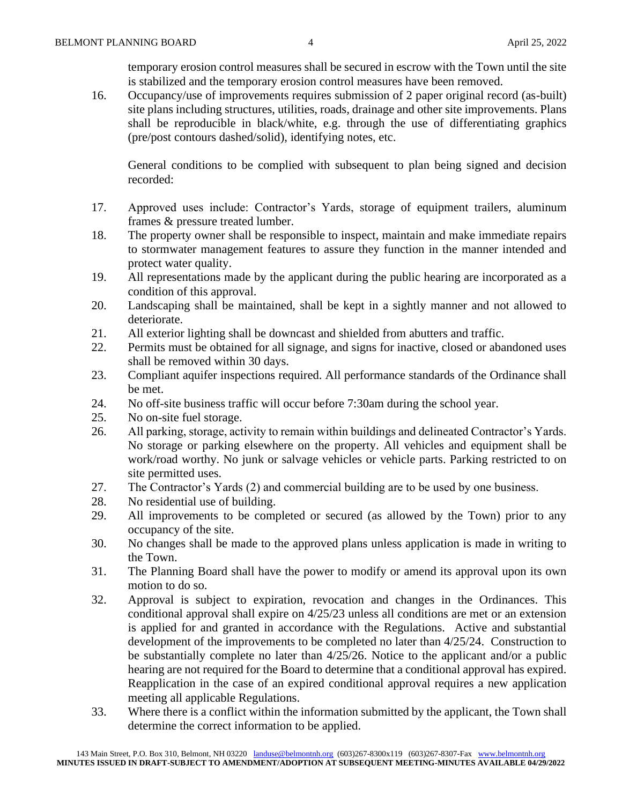temporary erosion control measures shall be secured in escrow with the Town until the site is stabilized and the temporary erosion control measures have been removed.

16. Occupancy/use of improvements requires submission of 2 paper original record (as-built) site plans including structures, utilities, roads, drainage and other site improvements. Plans shall be reproducible in black/white, e.g. through the use of differentiating graphics (pre/post contours dashed/solid), identifying notes, etc.

General conditions to be complied with subsequent to plan being signed and decision recorded:

- 17. Approved uses include: Contractor's Yards, storage of equipment trailers, aluminum frames & pressure treated lumber.
- 18. The property owner shall be responsible to inspect, maintain and make immediate repairs to stormwater management features to assure they function in the manner intended and protect water quality.
- 19. All representations made by the applicant during the public hearing are incorporated as a condition of this approval.
- 20. Landscaping shall be maintained, shall be kept in a sightly manner and not allowed to deteriorate.
- 21. All exterior lighting shall be downcast and shielded from abutters and traffic.
- 22. Permits must be obtained for all signage, and signs for inactive, closed or abandoned uses shall be removed within 30 days.
- 23. Compliant aquifer inspections required. All performance standards of the Ordinance shall be met.
- 24. No off-site business traffic will occur before 7:30am during the school year.
- 25. No on-site fuel storage.
- 26. All parking, storage, activity to remain within buildings and delineated Contractor's Yards. No storage or parking elsewhere on the property. All vehicles and equipment shall be work/road worthy. No junk or salvage vehicles or vehicle parts. Parking restricted to on site permitted uses.
- 27. The Contractor's Yards (2) and commercial building are to be used by one business.
- 28. No residential use of building.
- 29. All improvements to be completed or secured (as allowed by the Town) prior to any occupancy of the site.
- 30. No changes shall be made to the approved plans unless application is made in writing to the Town.
- 31. The Planning Board shall have the power to modify or amend its approval upon its own motion to do so.
- 32. Approval is subject to expiration, revocation and changes in the Ordinances. This conditional approval shall expire on 4/25/23 unless all conditions are met or an extension is applied for and granted in accordance with the Regulations. Active and substantial development of the improvements to be completed no later than 4/25/24. Construction to be substantially complete no later than 4/25/26. Notice to the applicant and/or a public hearing are not required for the Board to determine that a conditional approval has expired. Reapplication in the case of an expired conditional approval requires a new application meeting all applicable Regulations.
- 33. Where there is a conflict within the information submitted by the applicant, the Town shall determine the correct information to be applied.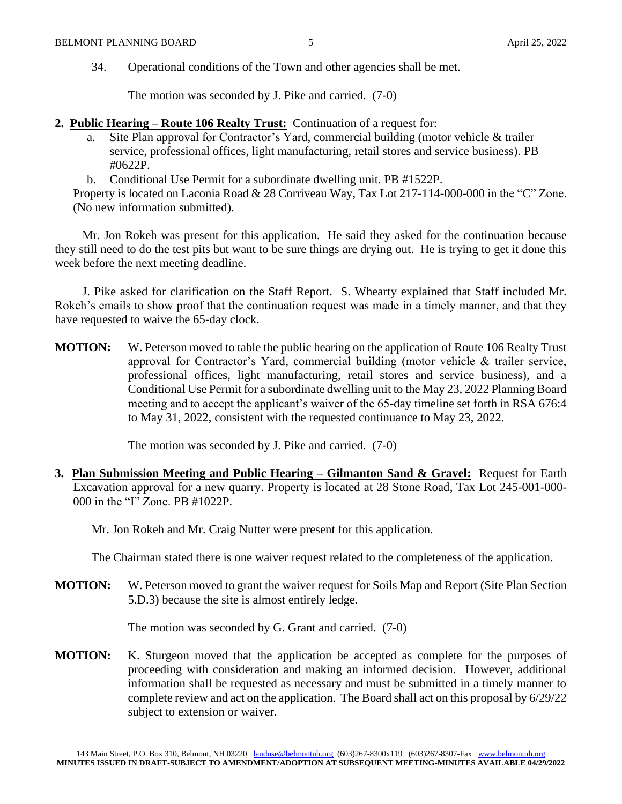34. Operational conditions of the Town and other agencies shall be met.

The motion was seconded by J. Pike and carried. (7-0)

- **2. Public Hearing – Route 106 Realty Trust:** Continuation of a request for:
	- a. Site Plan approval for Contractor's Yard, commercial building (motor vehicle & trailer service, professional offices, light manufacturing, retail stores and service business). PB #0622P.
	- b. Conditional Use Permit for a subordinate dwelling unit. PB #1522P.

Property is located on Laconia Road & 28 Corriveau Way, Tax Lot 217-114-000-000 in the "C" Zone. (No new information submitted).

Mr. Jon Rokeh was present for this application. He said they asked for the continuation because they still need to do the test pits but want to be sure things are drying out. He is trying to get it done this week before the next meeting deadline.

J. Pike asked for clarification on the Staff Report. S. Whearty explained that Staff included Mr. Rokeh's emails to show proof that the continuation request was made in a timely manner, and that they have requested to waive the 65-day clock.

**MOTION:** W. Peterson moved to table the public hearing on the application of Route 106 Realty Trust approval for Contractor's Yard, commercial building (motor vehicle & trailer service, professional offices, light manufacturing, retail stores and service business), and a Conditional Use Permit for a subordinate dwelling unit to the May 23, 2022 Planning Board meeting and to accept the applicant's waiver of the 65-day timeline set forth in RSA 676:4 to May 31, 2022, consistent with the requested continuance to May 23, 2022.

The motion was seconded by J. Pike and carried. (7-0)

**3. Plan Submission Meeting and Public Hearing – Gilmanton Sand & Gravel:** Request for Earth Excavation approval for a new quarry. Property is located at 28 Stone Road, Tax Lot 245-001-000- 000 in the "I" Zone. PB #1022P.

Mr. Jon Rokeh and Mr. Craig Nutter were present for this application.

The Chairman stated there is one waiver request related to the completeness of the application.

**MOTION:** W. Peterson moved to grant the waiver request for Soils Map and Report (Site Plan Section 5.D.3) because the site is almost entirely ledge.

The motion was seconded by G. Grant and carried. (7-0)

**MOTION:** K. Sturgeon moved that the application be accepted as complete for the purposes of proceeding with consideration and making an informed decision. However, additional information shall be requested as necessary and must be submitted in a timely manner to complete review and act on the application. The Board shall act on this proposal by 6/29/22 subject to extension or waiver.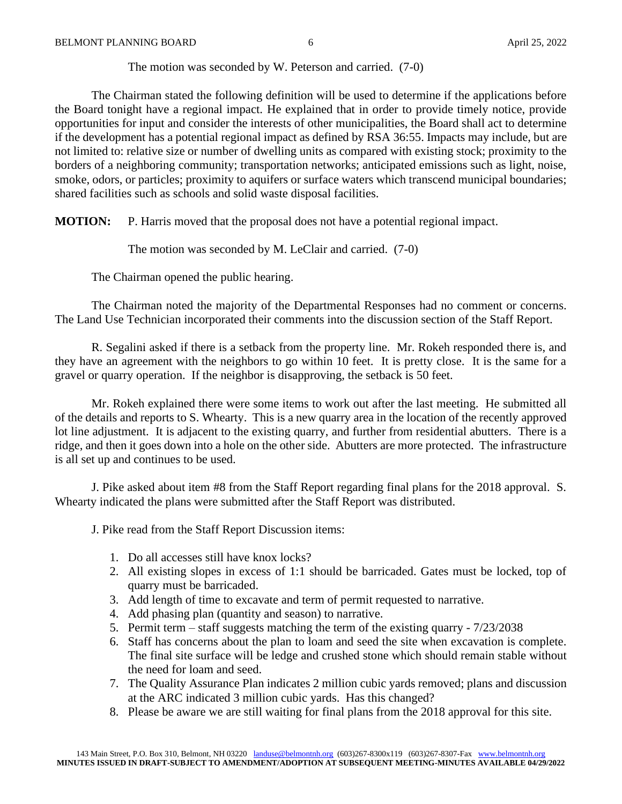The motion was seconded by W. Peterson and carried. (7-0)

The Chairman stated the following definition will be used to determine if the applications before the Board tonight have a regional impact. He explained that in order to provide timely notice, provide opportunities for input and consider the interests of other municipalities, the Board shall act to determine if the development has a potential regional impact as defined by RSA 36:55. Impacts may include, but are not limited to: relative size or number of dwelling units as compared with existing stock; proximity to the borders of a neighboring community; transportation networks; anticipated emissions such as light, noise, smoke, odors, or particles; proximity to aquifers or surface waters which transcend municipal boundaries; shared facilities such as schools and solid waste disposal facilities.

**MOTION:** P. Harris moved that the proposal does not have a potential regional impact.

The motion was seconded by M. LeClair and carried. (7-0)

The Chairman opened the public hearing.

The Chairman noted the majority of the Departmental Responses had no comment or concerns. The Land Use Technician incorporated their comments into the discussion section of the Staff Report.

R. Segalini asked if there is a setback from the property line. Mr. Rokeh responded there is, and they have an agreement with the neighbors to go within 10 feet. It is pretty close. It is the same for a gravel or quarry operation. If the neighbor is disapproving, the setback is 50 feet.

Mr. Rokeh explained there were some items to work out after the last meeting. He submitted all of the details and reports to S. Whearty. This is a new quarry area in the location of the recently approved lot line adjustment. It is adjacent to the existing quarry, and further from residential abutters. There is a ridge, and then it goes down into a hole on the other side. Abutters are more protected. The infrastructure is all set up and continues to be used.

J. Pike asked about item #8 from the Staff Report regarding final plans for the 2018 approval. S. Whearty indicated the plans were submitted after the Staff Report was distributed.

J. Pike read from the Staff Report Discussion items:

- 1. Do all accesses still have knox locks?
- 2. All existing slopes in excess of 1:1 should be barricaded. Gates must be locked, top of quarry must be barricaded.
- 3. Add length of time to excavate and term of permit requested to narrative.
- 4. Add phasing plan (quantity and season) to narrative.
- 5. Permit term staff suggests matching the term of the existing quarry 7/23/2038
- 6. Staff has concerns about the plan to loam and seed the site when excavation is complete. The final site surface will be ledge and crushed stone which should remain stable without the need for loam and seed.
- 7. The Quality Assurance Plan indicates 2 million cubic yards removed; plans and discussion at the ARC indicated 3 million cubic yards. Has this changed?
- 8. Please be aware we are still waiting for final plans from the 2018 approval for this site.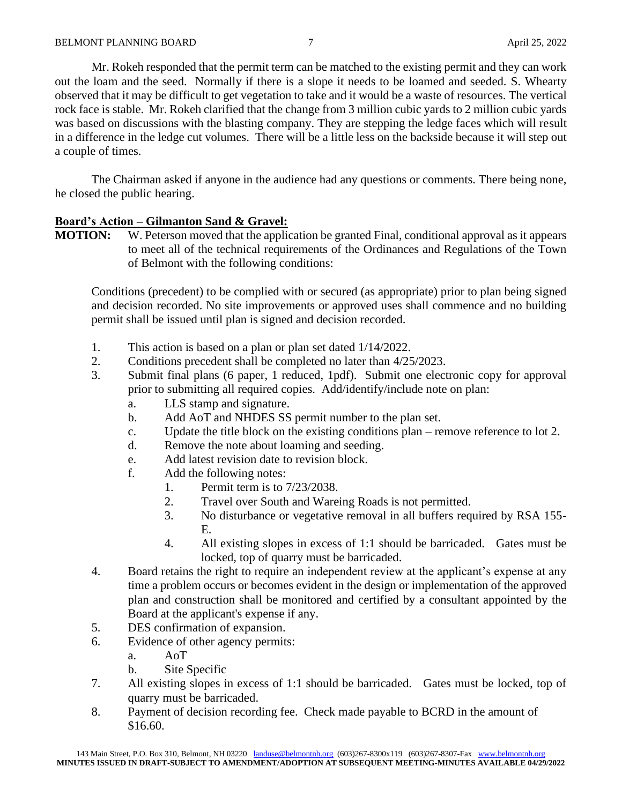Mr. Rokeh responded that the permit term can be matched to the existing permit and they can work out the loam and the seed. Normally if there is a slope it needs to be loamed and seeded. S. Whearty observed that it may be difficult to get vegetation to take and it would be a waste of resources. The vertical rock face is stable. Mr. Rokeh clarified that the change from 3 million cubic yards to 2 million cubic yards was based on discussions with the blasting company. They are stepping the ledge faces which will result in a difference in the ledge cut volumes. There will be a little less on the backside because it will step out a couple of times.

The Chairman asked if anyone in the audience had any questions or comments. There being none, he closed the public hearing.

# **Board's Action – Gilmanton Sand & Gravel:**

**MOTION:** W. Peterson moved that the application be granted Final, conditional approval as it appears to meet all of the technical requirements of the Ordinances and Regulations of the Town of Belmont with the following conditions:

Conditions (precedent) to be complied with or secured (as appropriate) prior to plan being signed and decision recorded. No site improvements or approved uses shall commence and no building permit shall be issued until plan is signed and decision recorded.

- 1. This action is based on a plan or plan set dated 1/14/2022.
- 2. Conditions precedent shall be completed no later than 4/25/2023.
- 3. Submit final plans (6 paper, 1 reduced, 1pdf). Submit one electronic copy for approval prior to submitting all required copies. Add/identify/include note on plan:
	- a. LLS stamp and signature.
	- b. Add AoT and NHDES SS permit number to the plan set.
	- c. Update the title block on the existing conditions plan remove reference to lot 2.
	- d. Remove the note about loaming and seeding.
	- e. Add latest revision date to revision block.
	- f. Add the following notes:
		- 1. Permit term is to 7/23/2038.
		- 2. Travel over South and Wareing Roads is not permitted.
		- 3. No disturbance or vegetative removal in all buffers required by RSA 155- E.
		- 4. All existing slopes in excess of 1:1 should be barricaded. Gates must be locked, top of quarry must be barricaded.
- 4. Board retains the right to require an independent review at the applicant's expense at any time a problem occurs or becomes evident in the design or implementation of the approved plan and construction shall be monitored and certified by a consultant appointed by the Board at the applicant's expense if any.
- 5. DES confirmation of expansion.
- 6. Evidence of other agency permits:
	- a. AoT
	- b. Site Specific
- 7. All existing slopes in excess of 1:1 should be barricaded. Gates must be locked, top of quarry must be barricaded.
- 8. Payment of decision recording fee. Check made payable to BCRD in the amount of \$16.60.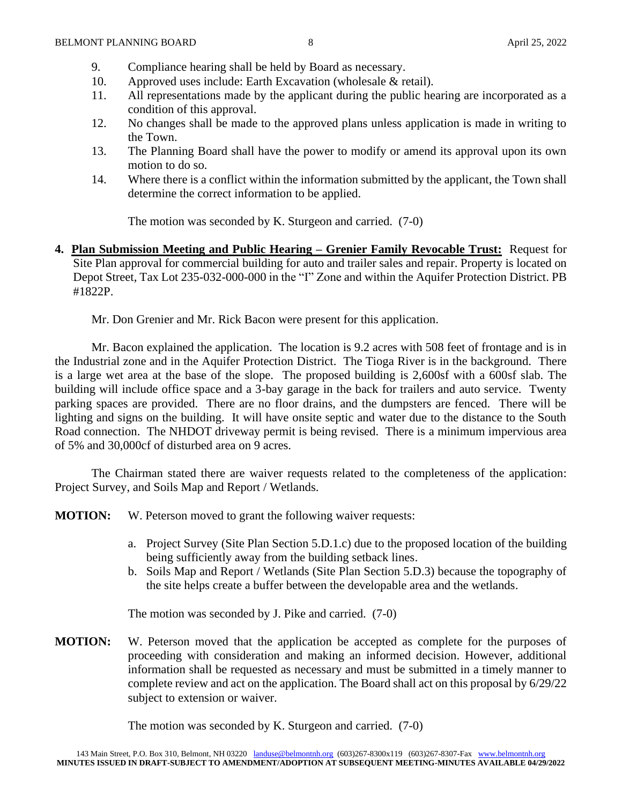- 9. Compliance hearing shall be held by Board as necessary.
- 10. Approved uses include: Earth Excavation (wholesale & retail).
- 11. All representations made by the applicant during the public hearing are incorporated as a condition of this approval.
- 12. No changes shall be made to the approved plans unless application is made in writing to the Town.
- 13. The Planning Board shall have the power to modify or amend its approval upon its own motion to do so.
- 14. Where there is a conflict within the information submitted by the applicant, the Town shall determine the correct information to be applied.

The motion was seconded by K. Sturgeon and carried. (7-0)

**4. Plan Submission Meeting and Public Hearing – Grenier Family Revocable Trust:** Request for Site Plan approval for commercial building for auto and trailer sales and repair. Property is located on Depot Street, Tax Lot 235-032-000-000 in the "I" Zone and within the Aquifer Protection District. PB #1822P.

Mr. Don Grenier and Mr. Rick Bacon were present for this application.

Mr. Bacon explained the application. The location is 9.2 acres with 508 feet of frontage and is in the Industrial zone and in the Aquifer Protection District. The Tioga River is in the background. There is a large wet area at the base of the slope. The proposed building is 2,600sf with a 600sf slab. The building will include office space and a 3-bay garage in the back for trailers and auto service. Twenty parking spaces are provided. There are no floor drains, and the dumpsters are fenced. There will be lighting and signs on the building. It will have onsite septic and water due to the distance to the South Road connection. The NHDOT driveway permit is being revised. There is a minimum impervious area of 5% and 30,000cf of disturbed area on 9 acres.

The Chairman stated there are waiver requests related to the completeness of the application: Project Survey, and Soils Map and Report / Wetlands.

**MOTION:** W. Peterson moved to grant the following waiver requests:

- a. Project Survey (Site Plan Section 5.D.1.c) due to the proposed location of the building being sufficiently away from the building setback lines.
- b. Soils Map and Report / Wetlands (Site Plan Section 5.D.3) because the topography of the site helps create a buffer between the developable area and the wetlands.

The motion was seconded by J. Pike and carried. (7-0)

**MOTION:** W. Peterson moved that the application be accepted as complete for the purposes of proceeding with consideration and making an informed decision. However, additional information shall be requested as necessary and must be submitted in a timely manner to complete review and act on the application. The Board shall act on this proposal by 6/29/22 subject to extension or waiver.

The motion was seconded by K. Sturgeon and carried. (7-0)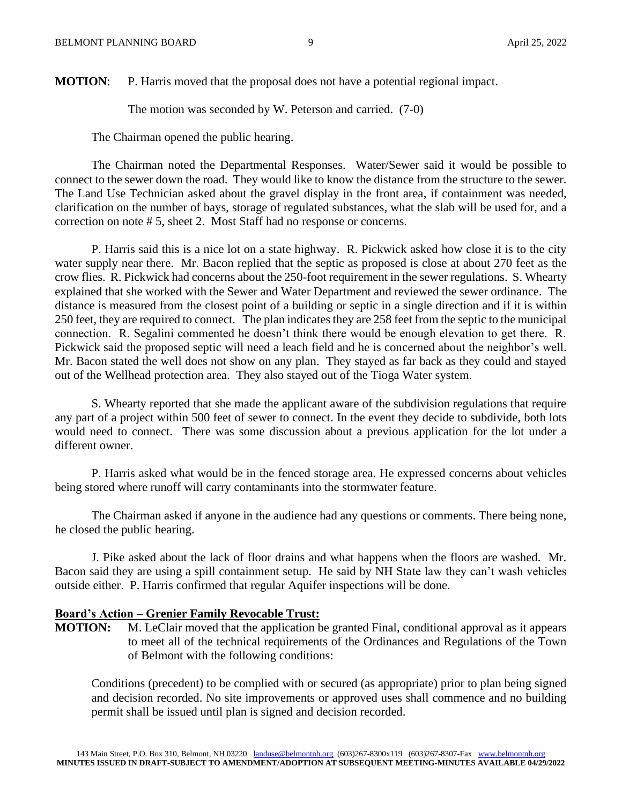**MOTION:** P. Harris moved that the proposal does not have a potential regional impact.

The motion was seconded by W. Peterson and carried. (7-0)

The Chairman opened the public hearing.

The Chairman noted the Departmental Responses. Water/Sewer said it would be possible to connect to the sewer down the road. They would like to know the distance from the structure to the sewer. The Land Use Technician asked about the gravel display in the front area, if containment was needed, clarification on the number of bays, storage of regulated substances, what the slab will be used for, and a correction on note # 5, sheet 2. Most Staff had no response or concerns.

P. Harris said this is a nice lot on a state highway. R. Pickwick asked how close it is to the city water supply near there. Mr. Bacon replied that the septic as proposed is close at about 270 feet as the crow flies. R. Pickwick had concerns about the 250-foot requirement in the sewer regulations. S. Whearty explained that she worked with the Sewer and Water Department and reviewed the sewer ordinance. The distance is measured from the closest point of a building or septic in a single direction and if it is within 250 feet, they are required to connect. The plan indicates they are 258 feet from the septic to the municipal connection. R. Segalini commented he doesn't think there would be enough elevation to get there. R. Pickwick said the proposed septic will need a leach field and he is concerned about the neighbor's well. Mr. Bacon stated the well does not show on any plan. They stayed as far back as they could and stayed out of the Wellhead protection area. They also stayed out of the Tioga Water system.

S. Whearty reported that she made the applicant aware of the subdivision regulations that require any part of a project within 500 feet of sewer to connect. In the event they decide to subdivide, both lots would need to connect. There was some discussion about a previous application for the lot under a different owner.

P. Harris asked what would be in the fenced storage area. He expressed concerns about vehicles being stored where runoff will carry contaminants into the stormwater feature.

The Chairman asked if anyone in the audience had any questions or comments. There being none, he closed the public hearing.

J. Pike asked about the lack of floor drains and what happens when the floors are washed. Mr. Bacon said they are using a spill containment setup. He said by NH State law they can't wash vehicles outside either. P. Harris confirmed that regular Aquifer inspections will be done.

#### **Board's Action – Grenier Family Revocable Trust:**

**MOTION:** M. LeClair moved that the application be granted Final, conditional approval as it appears to meet all of the technical requirements of the Ordinances and Regulations of the Town of Belmont with the following conditions:

Conditions (precedent) to be complied with or secured (as appropriate) prior to plan being signed and decision recorded. No site improvements or approved uses shall commence and no building permit shall be issued until plan is signed and decision recorded.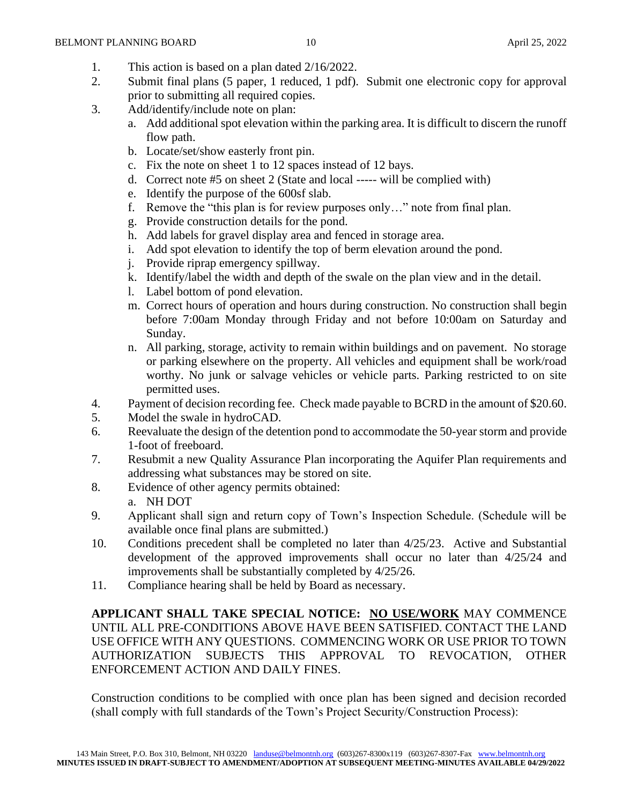- 1. This action is based on a plan dated 2/16/2022.
- 2. Submit final plans (5 paper, 1 reduced, 1 pdf). Submit one electronic copy for approval prior to submitting all required copies.
- 3. Add/identify/include note on plan:
	- a. Add additional spot elevation within the parking area. It is difficult to discern the runoff flow path.
	- b. Locate/set/show easterly front pin.
	- c. Fix the note on sheet 1 to 12 spaces instead of 12 bays.
	- d. Correct note #5 on sheet 2 (State and local ----- will be complied with)
	- e. Identify the purpose of the 600sf slab.
	- f. Remove the "this plan is for review purposes only…" note from final plan.
	- g. Provide construction details for the pond.
	- h. Add labels for gravel display area and fenced in storage area.
	- i. Add spot elevation to identify the top of berm elevation around the pond.
	- j. Provide riprap emergency spillway.
	- k. Identify/label the width and depth of the swale on the plan view and in the detail.
	- l. Label bottom of pond elevation.
	- m. Correct hours of operation and hours during construction. No construction shall begin before 7:00am Monday through Friday and not before 10:00am on Saturday and Sunday.
	- n. All parking, storage, activity to remain within buildings and on pavement. No storage or parking elsewhere on the property. All vehicles and equipment shall be work/road worthy. No junk or salvage vehicles or vehicle parts. Parking restricted to on site permitted uses.
- 4. Payment of decision recording fee. Check made payable to BCRD in the amount of \$20.60.
- 5. Model the swale in hydroCAD.
- 6. Reevaluate the design of the detention pond to accommodate the 50-year storm and provide 1-foot of freeboard.
- 7. Resubmit a new Quality Assurance Plan incorporating the Aquifer Plan requirements and addressing what substances may be stored on site.
- 8. Evidence of other agency permits obtained: a. NH DOT
- 9. Applicant shall sign and return copy of Town's Inspection Schedule. (Schedule will be available once final plans are submitted.)
- 10. Conditions precedent shall be completed no later than 4/25/23. Active and Substantial development of the approved improvements shall occur no later than 4/25/24 and improvements shall be substantially completed by 4/25/26.
- 11. Compliance hearing shall be held by Board as necessary.

**APPLICANT SHALL TAKE SPECIAL NOTICE: NO USE/WORK** MAY COMMENCE UNTIL ALL PRE-CONDITIONS ABOVE HAVE BEEN SATISFIED. CONTACT THE LAND USE OFFICE WITH ANY QUESTIONS. COMMENCING WORK OR USE PRIOR TO TOWN AUTHORIZATION SUBJECTS THIS APPROVAL TO REVOCATION, OTHER ENFORCEMENT ACTION AND DAILY FINES.

Construction conditions to be complied with once plan has been signed and decision recorded (shall comply with full standards of the Town's Project Security/Construction Process):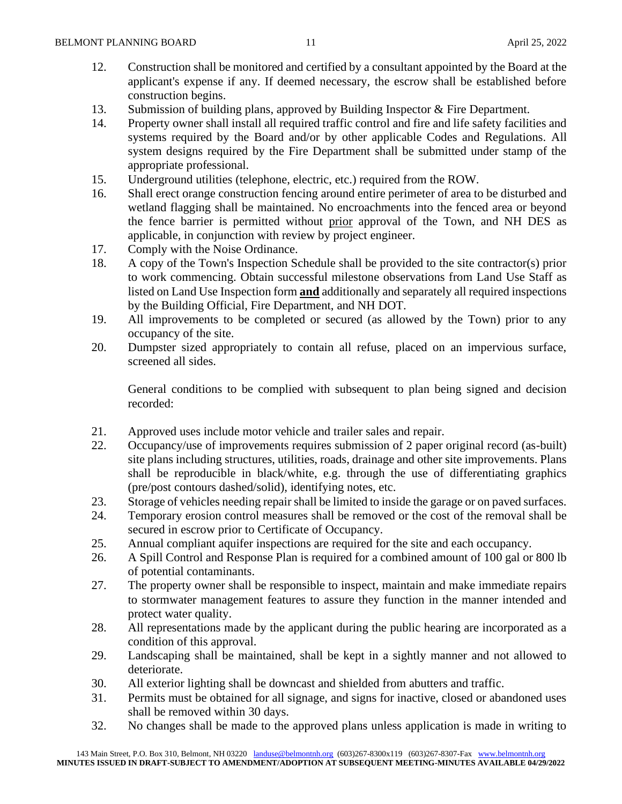- 12. Construction shall be monitored and certified by a consultant appointed by the Board at the applicant's expense if any. If deemed necessary, the escrow shall be established before construction begins.
- 13. Submission of building plans, approved by Building Inspector & Fire Department.
- 14. Property owner shall install all required traffic control and fire and life safety facilities and systems required by the Board and/or by other applicable Codes and Regulations. All system designs required by the Fire Department shall be submitted under stamp of the appropriate professional.
- 15. Underground utilities (telephone, electric, etc.) required from the ROW.
- 16. Shall erect orange construction fencing around entire perimeter of area to be disturbed and wetland flagging shall be maintained. No encroachments into the fenced area or beyond the fence barrier is permitted without prior approval of the Town, and NH DES as applicable, in conjunction with review by project engineer.
- 17. Comply with the Noise Ordinance.
- 18. A copy of the Town's Inspection Schedule shall be provided to the site contractor(s) prior to work commencing. Obtain successful milestone observations from Land Use Staff as listed on Land Use Inspection form **and** additionally and separately all required inspections by the Building Official, Fire Department, and NH DOT.
- 19. All improvements to be completed or secured (as allowed by the Town) prior to any occupancy of the site.
- 20. Dumpster sized appropriately to contain all refuse, placed on an impervious surface, screened all sides.

General conditions to be complied with subsequent to plan being signed and decision recorded:

- 21. Approved uses include motor vehicle and trailer sales and repair.
- 22. Occupancy/use of improvements requires submission of 2 paper original record (as-built) site plans including structures, utilities, roads, drainage and other site improvements. Plans shall be reproducible in black/white, e.g. through the use of differentiating graphics (pre/post contours dashed/solid), identifying notes, etc.
- 23. Storage of vehicles needing repair shall be limited to inside the garage or on paved surfaces.
- 24. Temporary erosion control measures shall be removed or the cost of the removal shall be secured in escrow prior to Certificate of Occupancy.
- 25. Annual compliant aquifer inspections are required for the site and each occupancy.
- 26. A Spill Control and Response Plan is required for a combined amount of 100 gal or 800 lb of potential contaminants.
- 27. The property owner shall be responsible to inspect, maintain and make immediate repairs to stormwater management features to assure they function in the manner intended and protect water quality.
- 28. All representations made by the applicant during the public hearing are incorporated as a condition of this approval.
- 29. Landscaping shall be maintained, shall be kept in a sightly manner and not allowed to deteriorate.
- 30. All exterior lighting shall be downcast and shielded from abutters and traffic.
- 31. Permits must be obtained for all signage, and signs for inactive, closed or abandoned uses shall be removed within 30 days.
- 32. No changes shall be made to the approved plans unless application is made in writing to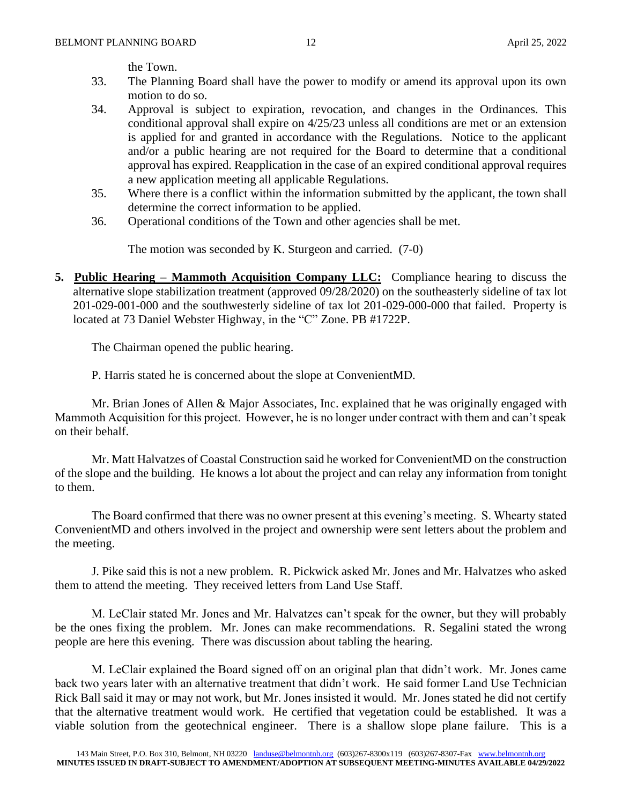the Town.

- 33. The Planning Board shall have the power to modify or amend its approval upon its own motion to do so.
- 34. Approval is subject to expiration, revocation, and changes in the Ordinances. This conditional approval shall expire on 4/25/23 unless all conditions are met or an extension is applied for and granted in accordance with the Regulations. Notice to the applicant and/or a public hearing are not required for the Board to determine that a conditional approval has expired. Reapplication in the case of an expired conditional approval requires a new application meeting all applicable Regulations.
- 35. Where there is a conflict within the information submitted by the applicant, the town shall determine the correct information to be applied.
- 36. Operational conditions of the Town and other agencies shall be met.

The motion was seconded by K. Sturgeon and carried. (7-0)

**5. Public Hearing – Mammoth Acquisition Company LLC:** Compliance hearing to discuss the alternative slope stabilization treatment (approved 09/28/2020) on the southeasterly sideline of tax lot 201-029-001-000 and the southwesterly sideline of tax lot 201-029-000-000 that failed. Property is located at 73 Daniel Webster Highway, in the "C" Zone. PB #1722P.

The Chairman opened the public hearing.

P. Harris stated he is concerned about the slope at ConvenientMD.

Mr. Brian Jones of Allen & Major Associates, Inc. explained that he was originally engaged with Mammoth Acquisition for this project. However, he is no longer under contract with them and can't speak on their behalf.

Mr. Matt Halvatzes of Coastal Construction said he worked for ConvenientMD on the construction of the slope and the building. He knows a lot about the project and can relay any information from tonight to them.

The Board confirmed that there was no owner present at this evening's meeting. S. Whearty stated ConvenientMD and others involved in the project and ownership were sent letters about the problem and the meeting.

J. Pike said this is not a new problem. R. Pickwick asked Mr. Jones and Mr. Halvatzes who asked them to attend the meeting. They received letters from Land Use Staff.

M. LeClair stated Mr. Jones and Mr. Halvatzes can't speak for the owner, but they will probably be the ones fixing the problem. Mr. Jones can make recommendations. R. Segalini stated the wrong people are here this evening. There was discussion about tabling the hearing.

M. LeClair explained the Board signed off on an original plan that didn't work. Mr. Jones came back two years later with an alternative treatment that didn't work. He said former Land Use Technician Rick Ball said it may or may not work, but Mr. Jones insisted it would. Mr. Jones stated he did not certify that the alternative treatment would work. He certified that vegetation could be established. It was a viable solution from the geotechnical engineer. There is a shallow slope plane failure. This is a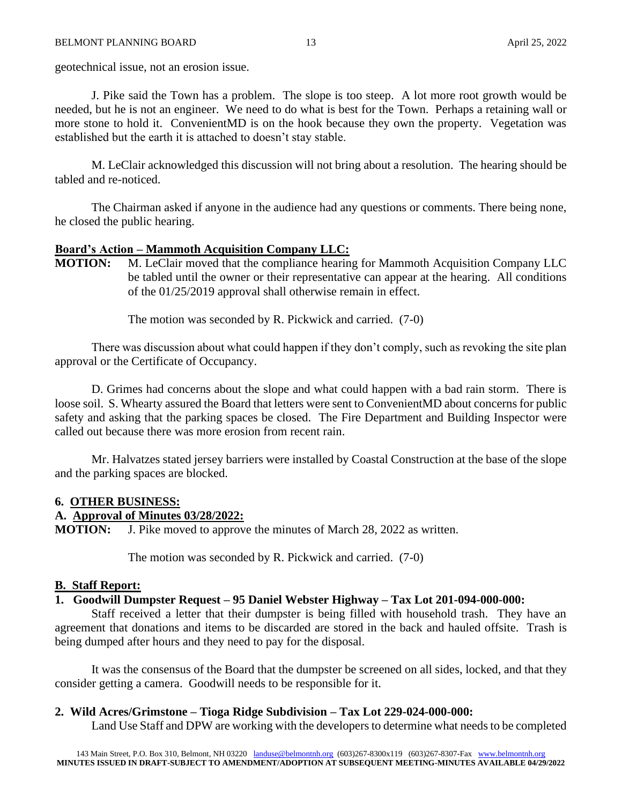geotechnical issue, not an erosion issue.

J. Pike said the Town has a problem. The slope is too steep. A lot more root growth would be needed, but he is not an engineer. We need to do what is best for the Town. Perhaps a retaining wall or more stone to hold it. ConvenientMD is on the hook because they own the property. Vegetation was established but the earth it is attached to doesn't stay stable.

M. LeClair acknowledged this discussion will not bring about a resolution. The hearing should be tabled and re-noticed.

The Chairman asked if anyone in the audience had any questions or comments. There being none, he closed the public hearing.

# **Board's Action – Mammoth Acquisition Company LLC:**

**MOTION:** M. LeClair moved that the compliance hearing for Mammoth Acquisition Company LLC be tabled until the owner or their representative can appear at the hearing. All conditions of the 01/25/2019 approval shall otherwise remain in effect.

The motion was seconded by R. Pickwick and carried. (7-0)

There was discussion about what could happen if they don't comply, such as revoking the site plan approval or the Certificate of Occupancy.

D. Grimes had concerns about the slope and what could happen with a bad rain storm. There is loose soil. S. Whearty assured the Board that letters were sent to ConvenientMD about concerns for public safety and asking that the parking spaces be closed. The Fire Department and Building Inspector were called out because there was more erosion from recent rain.

Mr. Halvatzes stated jersey barriers were installed by Coastal Construction at the base of the slope and the parking spaces are blocked.

#### **6. OTHER BUSINESS:**

#### **A. Approval of Minutes 03/28/2022:**

**MOTION:** J. Pike moved to approve the minutes of March 28, 2022 as written.

The motion was seconded by R. Pickwick and carried. (7-0)

#### **B. Staff Report:**

#### **1. Goodwill Dumpster Request – 95 Daniel Webster Highway – Tax Lot 201-094-000-000:**

Staff received a letter that their dumpster is being filled with household trash. They have an agreement that donations and items to be discarded are stored in the back and hauled offsite. Trash is being dumped after hours and they need to pay for the disposal.

It was the consensus of the Board that the dumpster be screened on all sides, locked, and that they consider getting a camera. Goodwill needs to be responsible for it.

#### **2. Wild Acres/Grimstone – Tioga Ridge Subdivision – Tax Lot 229-024-000-000:**

Land Use Staff and DPW are working with the developers to determine what needs to be completed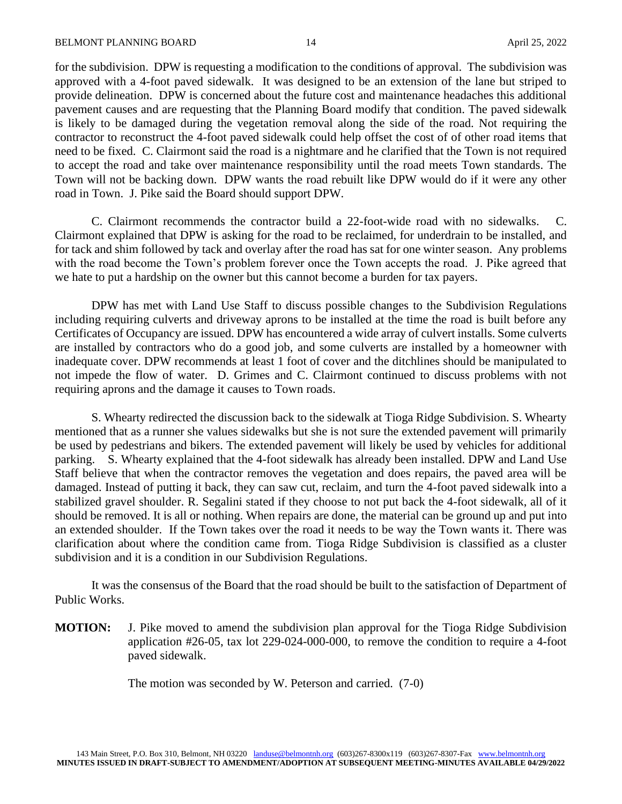for the subdivision. DPW is requesting a modification to the conditions of approval. The subdivision was approved with a 4-foot paved sidewalk. It was designed to be an extension of the lane but striped to provide delineation. DPW is concerned about the future cost and maintenance headaches this additional pavement causes and are requesting that the Planning Board modify that condition. The paved sidewalk is likely to be damaged during the vegetation removal along the side of the road. Not requiring the contractor to reconstruct the 4-foot paved sidewalk could help offset the cost of of other road items that need to be fixed. C. Clairmont said the road is a nightmare and he clarified that the Town is not required to accept the road and take over maintenance responsibility until the road meets Town standards. The Town will not be backing down. DPW wants the road rebuilt like DPW would do if it were any other road in Town. J. Pike said the Board should support DPW.

C. Clairmont recommends the contractor build a 22-foot-wide road with no sidewalks. C. Clairmont explained that DPW is asking for the road to be reclaimed, for underdrain to be installed, and for tack and shim followed by tack and overlay after the road has sat for one winter season. Any problems with the road become the Town's problem forever once the Town accepts the road. J. Pike agreed that we hate to put a hardship on the owner but this cannot become a burden for tax payers.

DPW has met with Land Use Staff to discuss possible changes to the Subdivision Regulations including requiring culverts and driveway aprons to be installed at the time the road is built before any Certificates of Occupancy are issued. DPW has encountered a wide array of culvert installs. Some culverts are installed by contractors who do a good job, and some culverts are installed by a homeowner with inadequate cover. DPW recommends at least 1 foot of cover and the ditchlines should be manipulated to not impede the flow of water. D. Grimes and C. Clairmont continued to discuss problems with not requiring aprons and the damage it causes to Town roads.

S. Whearty redirected the discussion back to the sidewalk at Tioga Ridge Subdivision. S. Whearty mentioned that as a runner she values sidewalks but she is not sure the extended pavement will primarily be used by pedestrians and bikers. The extended pavement will likely be used by vehicles for additional parking. S. Whearty explained that the 4-foot sidewalk has already been installed. DPW and Land Use Staff believe that when the contractor removes the vegetation and does repairs, the paved area will be damaged. Instead of putting it back, they can saw cut, reclaim, and turn the 4-foot paved sidewalk into a stabilized gravel shoulder. R. Segalini stated if they choose to not put back the 4-foot sidewalk, all of it should be removed. It is all or nothing. When repairs are done, the material can be ground up and put into an extended shoulder. If the Town takes over the road it needs to be way the Town wants it. There was clarification about where the condition came from. Tioga Ridge Subdivision is classified as a cluster subdivision and it is a condition in our Subdivision Regulations.

It was the consensus of the Board that the road should be built to the satisfaction of Department of Public Works.

**MOTION:** J. Pike moved to amend the subdivision plan approval for the Tioga Ridge Subdivision application #26-05, tax lot 229-024-000-000, to remove the condition to require a 4-foot paved sidewalk.

The motion was seconded by W. Peterson and carried. (7-0)